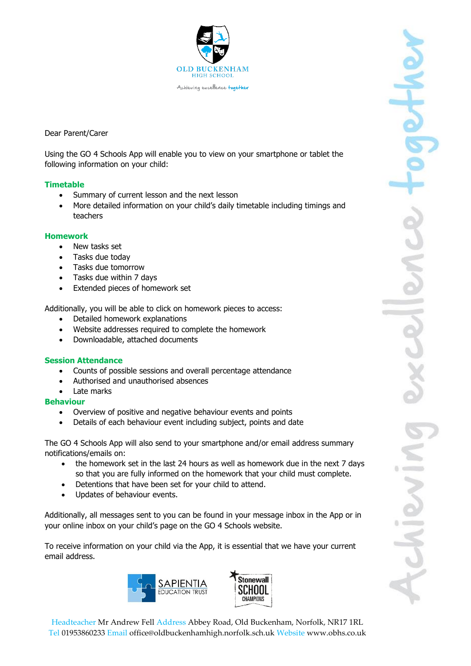

# Dear Parent/Carer

Using the GO 4 Schools App will enable you to view on your smartphone or tablet the following information on your child:

# **Timetable**

- Summary of current lesson and the next lesson
- More detailed information on your child's daily timetable including timings and teachers

### **Homework**

- New tasks set
- Tasks due today
- Tasks due tomorrow
- Tasks due within 7 days
- Extended pieces of homework set

Additionally, you will be able to click on homework pieces to access:

- Detailed homework explanations
- Website addresses required to complete the homework
- Downloadable, attached documents

### **Session Attendance**

- Counts of possible sessions and overall percentage attendance
- Authorised and unauthorised absences
- Late marks

### **Behaviour**

- Overview of positive and negative behaviour events and points
- Details of each behaviour event including subject, points and date

The GO 4 Schools App will also send to your smartphone and/or email address summary notifications/emails on:

- the homework set in the last 24 hours as well as homework due in the next 7 days so that you are fully informed on the homework that your child must complete.
- Detentions that have been set for your child to attend.
- Updates of behaviour events.

Additionally, all messages sent to you can be found in your message inbox in the App or in your online inbox on your child's page on the GO 4 Schools website.

To receive information on your child via the App, it is essential that we have your current email address.



Headteacher Mr Andrew Fell Address Abbey Road, Old Buckenham, Norfolk, NR17 1RL Tel 01953860233 Email office@oldbuckenhamhigh.norfolk.sch.uk Website www.obhs.co.uk